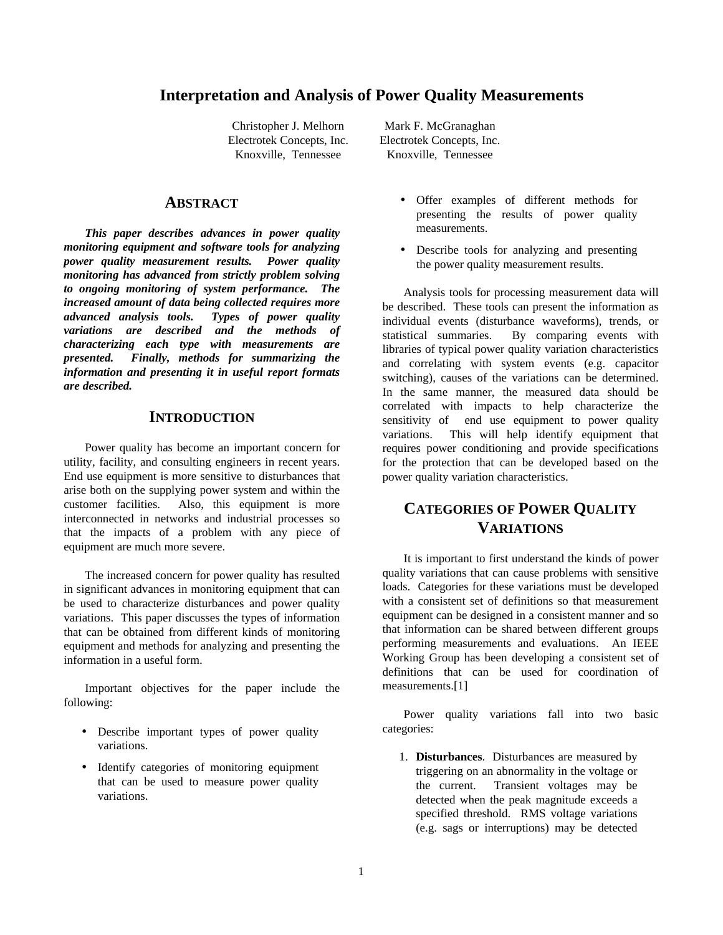# **Interpretation and Analysis of Power Quality Measurements**

Christopher J. Melhorn Electrotek Concepts, Inc. Knoxville, Tennessee

Mark F. McGranaghan Electrotek Concepts, Inc. Knoxville, Tennessee

#### **ABSTRACT**

*This paper describes advances in power quality monitoring equipment and software tools for analyzing power quality measurement results. Power quality monitoring has advanced from strictly problem solving to ongoing monitoring of system performance. The increased amount of data being collected requires more advanced analysis tools. Types of power quality variations are described and the methods of characterizing each type with measurements are presented. Finally, methods for summarizing the information and presenting it in useful report formats are described.*

## **INTRODUCTION**

Power quality has become an important concern for utility, facility, and consulting engineers in recent years. End use equipment is more sensitive to disturbances that arise both on the supplying power system and within the customer facilities. Also, this equipment is more interconnected in networks and industrial processes so that the impacts of a problem with any piece of equipment are much more severe.

The increased concern for power quality has resulted in significant advances in monitoring equipment that can be used to characterize disturbances and power quality variations. This paper discusses the types of information that can be obtained from different kinds of monitoring equipment and methods for analyzing and presenting the information in a useful form.

Important objectives for the paper include the following:

- Describe important types of power quality variations.
- Identify categories of monitoring equipment that can be used to measure power quality variations.
- Offer examples of different methods for presenting the results of power quality measurements.
- Describe tools for analyzing and presenting the power quality measurement results.

Analysis tools for processing measurement data will be described. These tools can present the information as individual events (disturbance waveforms), trends, or statistical summaries. By comparing events with libraries of typical power quality variation characteristics and correlating with system events (e.g. capacitor switching), causes of the variations can be determined. In the same manner, the measured data should be correlated with impacts to help characterize the sensitivity of end use equipment to power quality variations. This will help identify equipment that requires power conditioning and provide specifications for the protection that can be developed based on the power quality variation characteristics.

# **CATEGORIES OF POWER QUALITY VARIATIONS**

It is important to first understand the kinds of power quality variations that can cause problems with sensitive loads. Categories for these variations must be developed with a consistent set of definitions so that measurement equipment can be designed in a consistent manner and so that information can be shared between different groups performing measurements and evaluations. An IEEE Working Group has been developing a consistent set of definitions that can be used for coordination of measurements.[1]

Power quality variations fall into two basic categories:

1. **Disturbances**. Disturbances are measured by triggering on an abnormality in the voltage or the current. Transient voltages may be detected when the peak magnitude exceeds a specified threshold. RMS voltage variations (e.g. sags or interruptions) may be detected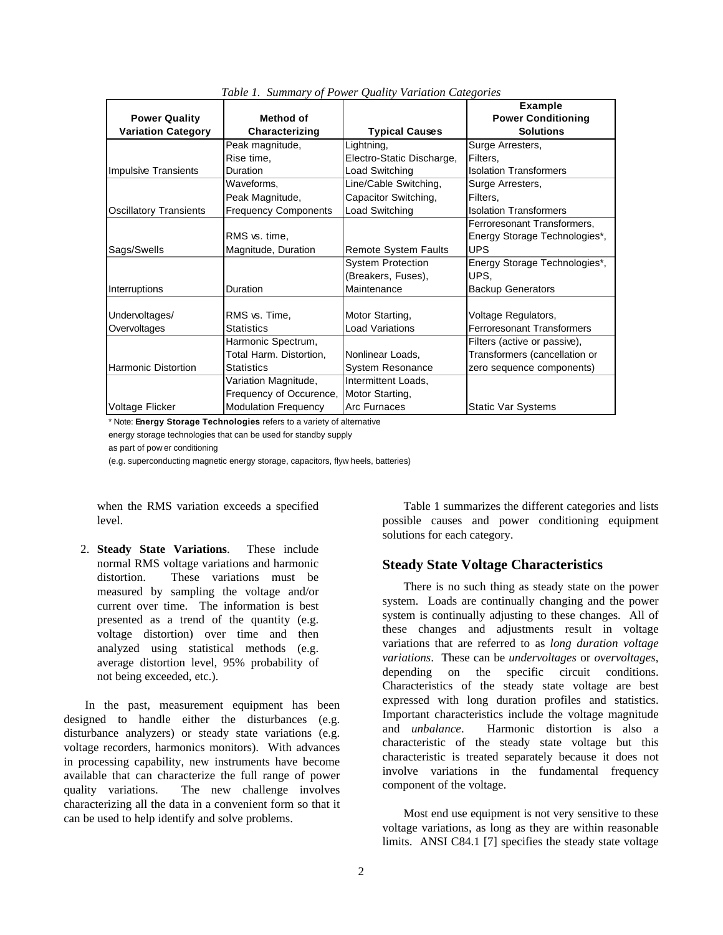|                               |                             |                             | <b>Example</b>                |  |
|-------------------------------|-----------------------------|-----------------------------|-------------------------------|--|
| <b>Power Quality</b>          | <b>Method of</b>            |                             | <b>Power Conditioning</b>     |  |
| <b>Variation Category</b>     | Characterizing              | <b>Typical Causes</b>       | <b>Solutions</b>              |  |
|                               | Peak magnitude,             | Lightning,                  | Surge Arresters,              |  |
|                               | Rise time.                  | Electro-Static Discharge,   | Filters.                      |  |
| Impulsive Transients          | Duration                    | Load Switching              | <b>Isolation Transformers</b> |  |
|                               | Waveforms,                  | Line/Cable Switching,       | Surge Arresters,              |  |
|                               | Peak Magnitude,             | Capacitor Switching,        | Filters,                      |  |
| <b>Oscillatory Transients</b> | <b>Frequency Components</b> | Load Switching              | <b>Isolation Transformers</b> |  |
|                               |                             |                             | Ferroresonant Transformers,   |  |
|                               | RMS vs. time,               |                             | Energy Storage Technologies*, |  |
| Sags/Swells                   | Magnitude, Duration         | <b>Remote System Faults</b> | <b>UPS</b>                    |  |
|                               |                             | <b>System Protection</b>    | Energy Storage Technologies*, |  |
|                               |                             | (Breakers, Fuses),          | UPS.                          |  |
| Interruptions                 | Duration                    | Maintenance                 | <b>Backup Generators</b>      |  |
|                               |                             |                             |                               |  |
| Undervoltages/                | RMS vs. Time,               | Motor Starting,             | Voltage Regulators,           |  |
| Overvoltages                  | <b>Statistics</b>           | <b>Load Variations</b>      | Ferroresonant Transformers    |  |
|                               | Harmonic Spectrum,          |                             | Filters (active or passive),  |  |
|                               | Total Harm. Distortion,     | Nonlinear Loads,            | Transformers (cancellation or |  |
| <b>Harmonic Distortion</b>    | <b>Statistics</b>           | <b>System Resonance</b>     | zero sequence components)     |  |
|                               | Variation Magnitude,        | Intermittent Loads,         |                               |  |
|                               | Frequency of Occurence,     | Motor Starting,             |                               |  |
| <b>Voltage Flicker</b>        | <b>Modulation Frequency</b> | Arc Furnaces                | <b>Static Var Systems</b>     |  |

*Table 1. Summary of Power Quality Variation Categories*

\* Note: **Energy Storage Technologies** refers to a variety of alternative

energy storage technologies that can be used for standby supply

as part of pow er conditioning

(e.g. superconducting magnetic energy storage, capacitors, flyw heels, batteries)

when the RMS variation exceeds a specified level.

2. **Steady State Variations**. These include normal RMS voltage variations and harmonic distortion. These variations must be measured by sampling the voltage and/or current over time. The information is best presented as a trend of the quantity (e.g. voltage distortion) over time and then analyzed using statistical methods (e.g. average distortion level, 95% probability of not being exceeded, etc.).

In the past, measurement equipment has been designed to handle either the disturbances (e.g. disturbance analyzers) or steady state variations (e.g. voltage recorders, harmonics monitors). With advances in processing capability, new instruments have become available that can characterize the full range of power quality variations. The new challenge involves characterizing all the data in a convenient form so that it can be used to help identify and solve problems.

Table 1 summarizes the different categories and lists possible causes and power conditioning equipment solutions for each category.

#### **Steady State Voltage Characteristics**

There is no such thing as steady state on the power system. Loads are continually changing and the power system is continually adjusting to these changes. All of these changes and adjustments result in voltage variations that are referred to as *long duration voltage variations*. These can be *undervoltages* or *overvoltages*, depending on the specific circuit conditions. Characteristics of the steady state voltage are best expressed with long duration profiles and statistics. Important characteristics include the voltage magnitude and *unbalance*. Harmonic distortion is also a characteristic of the steady state voltage but this characteristic is treated separately because it does not involve variations in the fundamental frequency component of the voltage.

Most end use equipment is not very sensitive to these voltage variations, as long as they are within reasonable limits. ANSI C84.1 [7] specifies the steady state voltage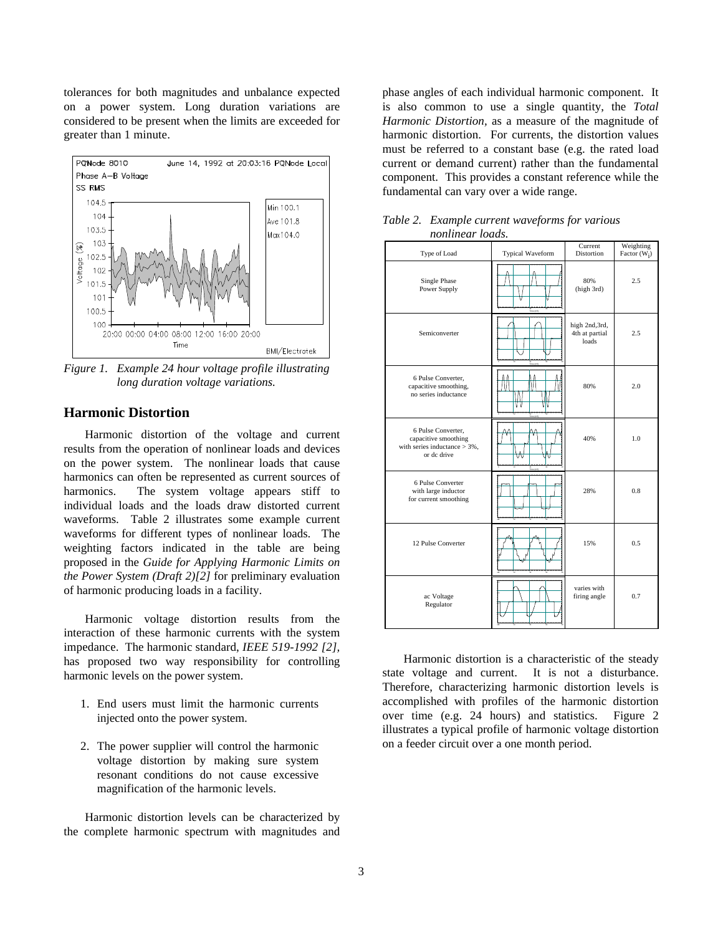tolerances for both magnitudes and unbalance expected on a power system. Long duration variations are considered to be present when the limits are exceeded for greater than 1 minute.



*Figure 1. Example 24 hour voltage profile illustrating long duration voltage variations.*

#### **Harmonic Distortion**

Harmonic distortion of the voltage and current results from the operation of nonlinear loads and devices on the power system. The nonlinear loads that cause harmonics can often be represented as current sources of harmonics. The system voltage appears stiff to individual loads and the loads draw distorted current waveforms. Table 2 illustrates some example current waveforms for different types of nonlinear loads. The weighting factors indicated in the table are being proposed in the *Guide for Applying Harmonic Limits on the Power System (Draft 2)[2]* for preliminary evaluation of harmonic producing loads in a facility.

Harmonic voltage distortion results from the interaction of these harmonic currents with the system impedance. The harmonic standard, *IEEE 519-1992 [2],* has proposed two way responsibility for controlling harmonic levels on the power system.

- 1. End users must limit the harmonic currents injected onto the power system.
- 2. The power supplier will control the harmonic voltage distortion by making sure system resonant conditions do not cause excessive magnification of the harmonic levels.

Harmonic distortion levels can be characterized by the complete harmonic spectrum with magnitudes and phase angles of each individual harmonic component. It is also common to use a single quantity, the *Total Harmonic Distortion,* as a measure of the magnitude of harmonic distortion. For currents, the distortion values must be referred to a constant base (e.g. the rated load current or demand current) rather than the fundamental component. This provides a constant reference while the fundamental can vary over a wide range.

*Table 2. Example current waveforms for various nonlinear loads.*

| Type of Load                                                                                | Typical Waveform | Current<br>Distortion                    | Weighting<br>Factor $(W_i)$ |
|---------------------------------------------------------------------------------------------|------------------|------------------------------------------|-----------------------------|
| Single Phase<br>Power Supply                                                                |                  | 80%<br>(high 3rd)                        | 2.5                         |
| Semiconverter                                                                               | an<br>Tana tanta | high 2nd,3rd,<br>4th at partial<br>loads | 2.5                         |
| 6 Pulse Converter,<br>capacitive smoothing,<br>no series inductance                         |                  | 80%                                      | 2.0                         |
| 6 Pulse Converter,<br>capacitive smoothing<br>with series inductance $>$ 3%,<br>or de drive |                  | 40%                                      | 1.0                         |
| 6 Pulse Converter<br>with large inductor<br>for current smoothing                           |                  | 28%                                      | 0.8                         |
| 12 Pulse Converter                                                                          |                  | 15%                                      | 0.5                         |
| ac Voltage<br>Regulator                                                                     |                  | varies with<br>firing angle              | 0.7                         |

Harmonic distortion is a characteristic of the steady state voltage and current. It is not a disturbance. Therefore, characterizing harmonic distortion levels is accomplished with profiles of the harmonic distortion over time (e.g. 24 hours) and statistics. Figure 2 illustrates a typical profile of harmonic voltage distortion on a feeder circuit over a one month period.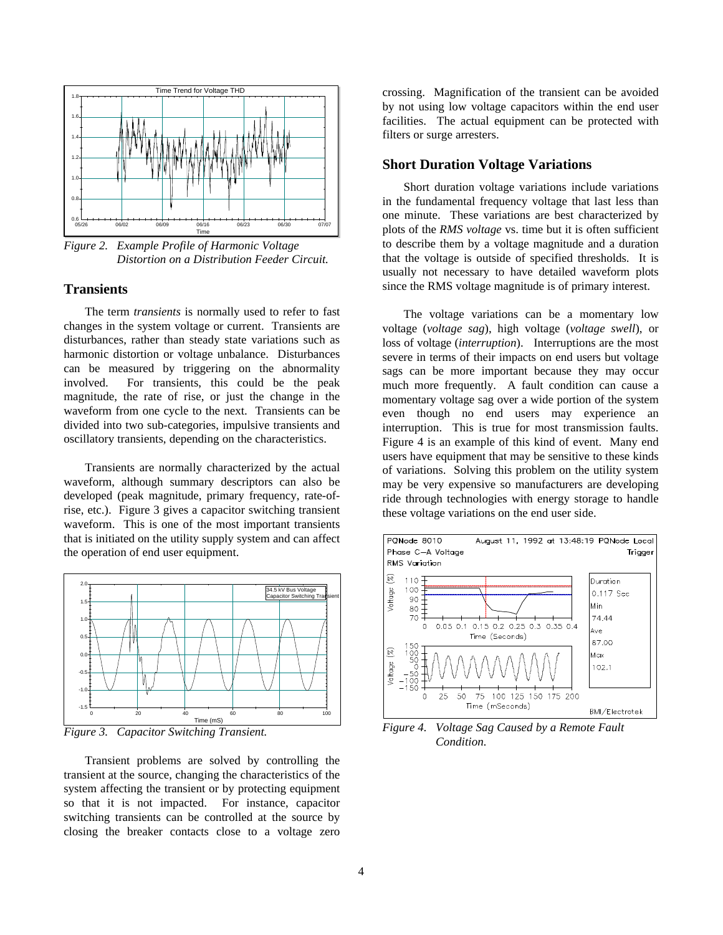

*Figure 2. Example Profile of Harmonic Voltage Distortion on a Distribution Feeder Circuit.*

#### **Transients**

The term *transients* is normally used to refer to fast changes in the system voltage or current. Transients are disturbances, rather than steady state variations such as harmonic distortion or voltage unbalance. Disturbances can be measured by triggering on the abnormality involved. For transients, this could be the peak magnitude, the rate of rise, or just the change in the waveform from one cycle to the next. Transients can be divided into two sub-categories, impulsive transients and oscillatory transients, depending on the characteristics.

Transients are normally characterized by the actual waveform, although summary descriptors can also be developed (peak magnitude, primary frequency, rate-ofrise, etc.). Figure 3 gives a capacitor switching transient waveform. This is one of the most important transients that is initiated on the utility supply system and can affect the operation of end user equipment.



*Figure 3. Capacitor Switching Transient.*

Transient problems are solved by controlling the transient at the source, changing the characteristics of the system affecting the transient or by protecting equipment so that it is not impacted. For instance, capacitor switching transients can be controlled at the source by closing the breaker contacts close to a voltage zero

crossing. Magnification of the transient can be avoided by not using low voltage capacitors within the end user facilities. The actual equipment can be protected with filters or surge arresters.

#### **Short Duration Voltage Variations**

Short duration voltage variations include variations in the fundamental frequency voltage that last less than one minute. These variations are best characterized by plots of the *RMS voltage* vs. time but it is often sufficient to describe them by a voltage magnitude and a duration that the voltage is outside of specified thresholds. It is usually not necessary to have detailed waveform plots since the RMS voltage magnitude is of primary interest.

The voltage variations can be a momentary low voltage (*voltage sag*), high voltage (*voltage swell*), or loss of voltage (*interruption*). Interruptions are the most severe in terms of their impacts on end users but voltage sags can be more important because they may occur much more frequently. A fault condition can cause a momentary voltage sag over a wide portion of the system even though no end users may experience an interruption. This is true for most transmission faults. Figure 4 is an example of this kind of event. Many end users have equipment that may be sensitive to these kinds of variations. Solving this problem on the utility system may be very expensive so manufacturers are developing ride through technologies with energy storage to handle these voltage variations on the end user side.



*Figure 4. Voltage Sag Caused by a Remote Fault Condition.*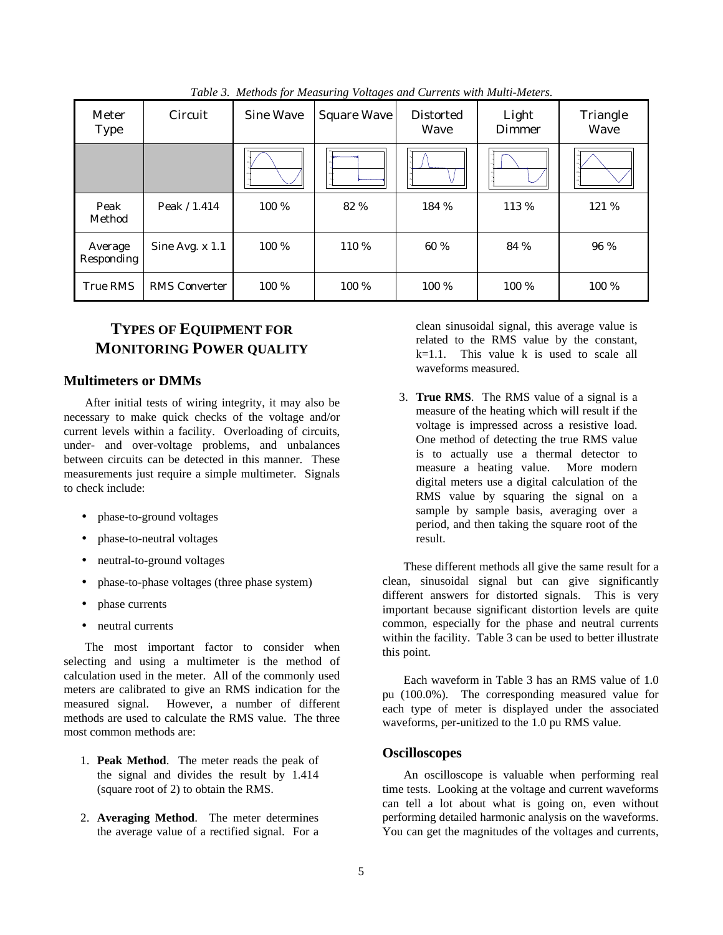| Meter<br><b>Type</b>  | Circuit              | <b>Sine Wave</b> | Square Wave | <b>Distorted</b><br>Wave | Light<br>Dimmer | Triangle<br><b>Wave</b> |
|-----------------------|----------------------|------------------|-------------|--------------------------|-----------------|-------------------------|
|                       |                      |                  |             |                          |                 |                         |
| Peak<br>Method        | Peak / 1.414         | 100 %            | 82 %        | 184 %                    | 113 %           | 121 %                   |
| Average<br>Responding | Sine Avg. $x$ 1.1    | 100 %            | 110 %       | 60 %                     | 84 %            | 96 %                    |
| <b>True RMS</b>       | <b>RMS Converter</b> | 100 %            | 100 %       | 100 %                    | 100 %           | 100 %                   |

*Table 3. Methods for Measuring Voltages and Currents with Multi-Meters.*

# **TYPES OF EQUIPMENT FOR MONITORING POWER QUALITY**

#### **Multimeters or DMMs**

After initial tests of wiring integrity, it may also be necessary to make quick checks of the voltage and/or current levels within a facility. Overloading of circuits, under- and over-voltage problems, and unbalances between circuits can be detected in this manner. These measurements just require a simple multimeter. Signals to check include:

- phase-to-ground voltages
- phase-to-neutral voltages
- neutral-to-ground voltages
- phase-to-phase voltages (three phase system)
- phase currents
- neutral currents

The most important factor to consider when selecting and using a multimeter is the method of calculation used in the meter. All of the commonly used meters are calibrated to give an RMS indication for the measured signal. However, a number of different methods are used to calculate the RMS value. The three most common methods are:

- 1. **Peak Method**. The meter reads the peak of the signal and divides the result by 1.414 (square root of 2) to obtain the RMS.
- 2. **Averaging Method**. The meter determines the average value of a rectified signal. For a

clean sinusoidal signal, this average value is related to the RMS value by the constant,  $k=1,1$ . This value k is used to scale all waveforms measured.

3. **True RMS**. The RMS value of a signal is a measure of the heating which will result if the voltage is impressed across a resistive load. One method of detecting the true RMS value is to actually use a thermal detector to measure a heating value. More modern digital meters use a digital calculation of the RMS value by squaring the signal on a sample by sample basis, averaging over a period, and then taking the square root of the result.

These different methods all give the same result for a clean, sinusoidal signal but can give significantly different answers for distorted signals. This is very important because significant distortion levels are quite common, especially for the phase and neutral currents within the facility. Table 3 can be used to better illustrate this point.

Each waveform in Table 3 has an RMS value of 1.0 pu (100.0%). The corresponding measured value for each type of meter is displayed under the associated waveforms, per-unitized to the 1.0 pu RMS value.

#### **Oscilloscopes**

An oscilloscope is valuable when performing real time tests. Looking at the voltage and current waveforms can tell a lot about what is going on, even without performing detailed harmonic analysis on the waveforms. You can get the magnitudes of the voltages and currents,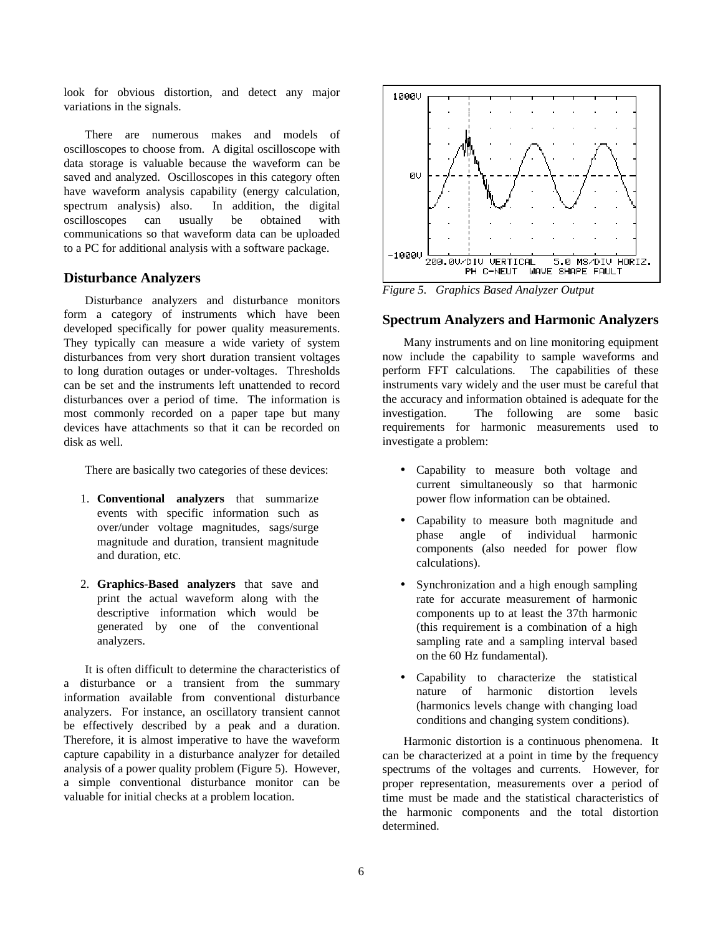look for obvious distortion, and detect any major variations in the signals.

There are numerous makes and models of oscilloscopes to choose from. A digital oscilloscope with data storage is valuable because the waveform can be saved and analyzed. Oscilloscopes in this category often have waveform analysis capability (energy calculation, spectrum analysis) also. In addition, the digital oscilloscopes can usually be obtained with communications so that waveform data can be uploaded to a PC for additional analysis with a software package.

#### **Disturbance Analyzers**

Disturbance analyzers and disturbance monitors form a category of instruments which have been developed specifically for power quality measurements. They typically can measure a wide variety of system disturbances from very short duration transient voltages to long duration outages or under-voltages. Thresholds can be set and the instruments left unattended to record disturbances over a period of time. The information is most commonly recorded on a paper tape but many devices have attachments so that it can be recorded on disk as well.

There are basically two categories of these devices:

- 1. **Conventional analyzers** that summarize events with specific information such as over/under voltage magnitudes, sags/surge magnitude and duration, transient magnitude and duration, etc.
- 2. **Graphics-Based analyzers** that save and print the actual waveform along with the descriptive information which would be generated by one of the conventional analyzers.

It is often difficult to determine the characteristics of a disturbance or a transient from the summary information available from conventional disturbance analyzers. For instance, an oscillatory transient cannot be effectively described by a peak and a duration. Therefore, it is almost imperative to have the waveform capture capability in a disturbance analyzer for detailed analysis of a power quality problem (Figure 5). However, a simple conventional disturbance monitor can be valuable for initial checks at a problem location.



*Figure 5. Graphics Based Analyzer Output*

#### **Spectrum Analyzers and Harmonic Analyzers**

Many instruments and on line monitoring equipment now include the capability to sample waveforms and perform FFT calculations. The capabilities of these instruments vary widely and the user must be careful that the accuracy and information obtained is adequate for the investigation. The following are some basic requirements for harmonic measurements used to investigate a problem:

- Capability to measure both voltage and current simultaneously so that harmonic power flow information can be obtained.
- Capability to measure both magnitude and phase angle of individual harmonic components (also needed for power flow calculations).
- Synchronization and a high enough sampling rate for accurate measurement of harmonic components up to at least the 37th harmonic (this requirement is a combination of a high sampling rate and a sampling interval based on the 60 Hz fundamental).
- Capability to characterize the statistical nature of harmonic distortion levels (harmonics levels change with changing load conditions and changing system conditions).

Harmonic distortion is a continuous phenomena. It can be characterized at a point in time by the frequency spectrums of the voltages and currents. However, for proper representation, measurements over a period of time must be made and the statistical characteristics of the harmonic components and the total distortion determined.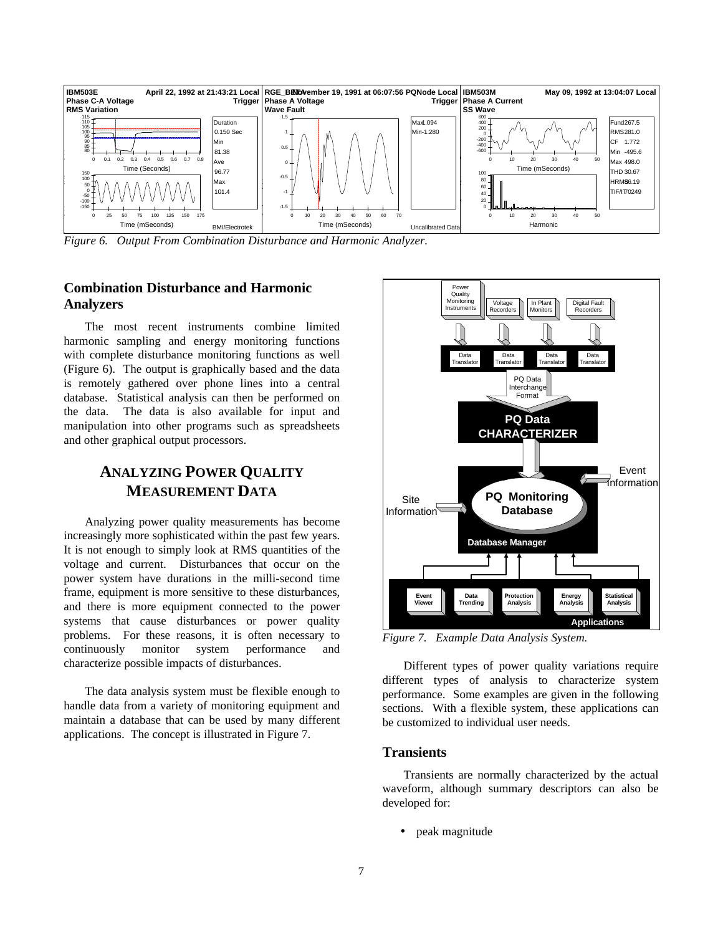

*Figure 6. Output From Combination Disturbance and Harmonic Analyzer.*

## **Combination Disturbance and Harmonic Analyzers**

The most recent instruments combine limited harmonic sampling and energy monitoring functions with complete disturbance monitoring functions as well (Figure 6). The output is graphically based and the data is remotely gathered over phone lines into a central database. Statistical analysis can then be performed on the data. The data is also available for input and manipulation into other programs such as spreadsheets and other graphical output processors.

# **ANALYZING POWER QUALITY MEASUREMENT DATA**

Analyzing power quality measurements has become increasingly more sophisticated within the past few years. It is not enough to simply look at RMS quantities of the voltage and current. Disturbances that occur on the power system have durations in the milli-second time frame, equipment is more sensitive to these disturbances, and there is more equipment connected to the power systems that cause disturbances or power quality problems. For these reasons, it is often necessary to continuously monitor system performance and characterize possible impacts of disturbances.

The data analysis system must be flexible enough to handle data from a variety of monitoring equipment and maintain a database that can be used by many different applications. The concept is illustrated in Figure 7.



*Figure 7. Example Data Analysis System.*

Different types of power quality variations require different types of analysis to characterize system performance. Some examples are given in the following sections. With a flexible system, these applications can be customized to individual user needs.

#### **Transients**

Transients are normally characterized by the actual waveform, although summary descriptors can also be developed for:

• peak magnitude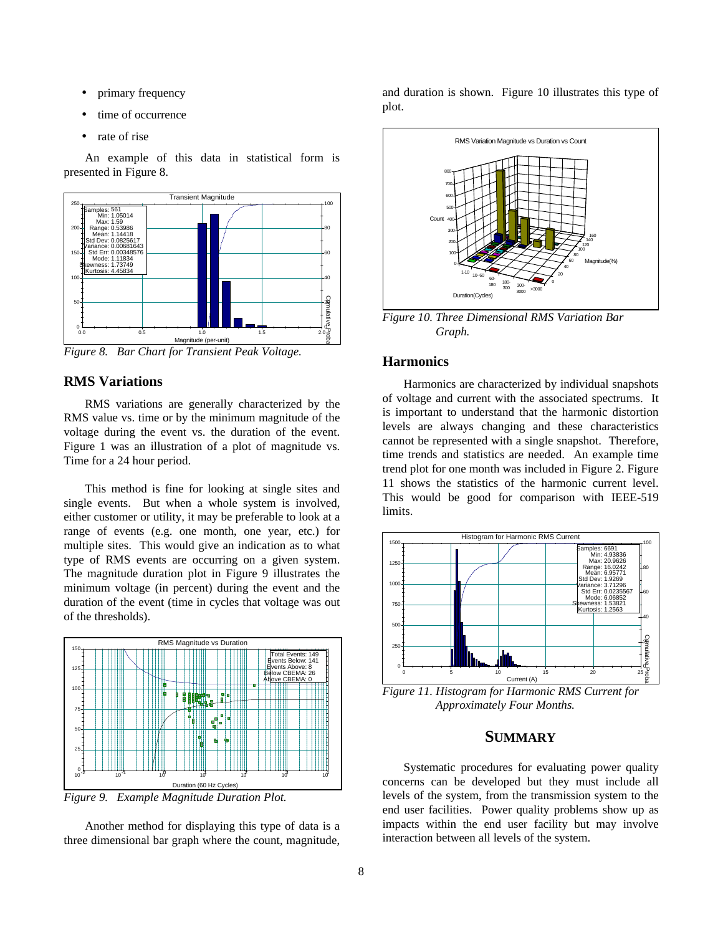- primary frequency
- time of occurrence
- rate of rise

An example of this data in statistical form is presented in Figure 8.



*Figure 8. Bar Chart for Transient Peak Voltage.*

### **RMS Variations**

RMS variations are generally characterized by the RMS value vs. time or by the minimum magnitude of the voltage during the event vs. the duration of the event. Figure 1 was an illustration of a plot of magnitude vs. Time for a 24 hour period.

This method is fine for looking at single sites and single events. But when a whole system is involved, either customer or utility, it may be preferable to look at a range of events (e.g. one month, one year, etc.) for multiple sites. This would give an indication as to what type of RMS events are occurring on a given system. The magnitude duration plot in Figure 9 illustrates the minimum voltage (in percent) during the event and the duration of the event (time in cycles that voltage was out of the thresholds).



*Figure 9. Example Magnitude Duration Plot.*

Another method for displaying this type of data is a three dimensional bar graph where the count, magnitude,

and duration is shown. Figure 10 illustrates this type of plot.



*Figure 10. Three Dimensional RMS Variation Bar Graph.*

#### **Harmonics**

Harmonics are characterized by individual snapshots of voltage and current with the associated spectrums. It is important to understand that the harmonic distortion levels are always changing and these characteristics cannot be represented with a single snapshot. Therefore, time trends and statistics are needed. An example time trend plot for one month was included in Figure 2. Figure 11 shows the statistics of the harmonic current level. This would be good for comparison with IEEE-519 limits.



*Figure 11. Histogram for Harmonic RMS Current for Approximately Four Months.*

#### **SUMMARY**

Systematic procedures for evaluating power quality concerns can be developed but they must include all levels of the system, from the transmission system to the end user facilities. Power quality problems show up as impacts within the end user facility but may involve interaction between all levels of the system.